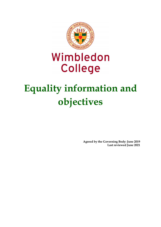

# Wimbledon **College**

# **Equality information and objectives**

**Agreed by the Governing Body: June 2019 Last reviewed June 2021**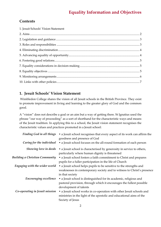### **Contents**

| 1. Jesuit Schools' Vision Statement |  |
|-------------------------------------|--|
|                                     |  |
|                                     |  |
|                                     |  |
|                                     |  |
|                                     |  |
|                                     |  |
|                                     |  |
|                                     |  |
|                                     |  |
|                                     |  |

## **1. Jesuit Schools' Vision Statement**

Wimbledon College shares the vision of all Jesuit schools in the British Province. They exist to promote improvement in living and learning to the greater glory of God and the common good.

A "vision" does not describe a goal or an aim but a way of getting there. St Ignatius used the phrase "our way of proceeding" as a sort of shorthand for the characteristic ways and means of the Jesuit tradition. In applying this to a school, the Jesuit vision statement recognises the characteristic values and practices promoted in a Jesuit school:

| Finding God in all things             | • a Jesuit school recognises that every aspect of its work can affirm the<br>goodness and presence of God                                                            |
|---------------------------------------|----------------------------------------------------------------------------------------------------------------------------------------------------------------------|
| Caring for the individual             | • a Jesuit school focuses on the all-round formation of each person                                                                                                  |
| Showing love in deeds                 | • a Jesuit school is characterised by generosity in service to others,<br>particularly where human dignity is threatened                                             |
| <b>Building a Christian Community</b> | • a Jesuit school fosters a faith commitment to Christ and prepares<br>pupils for a fuller participation in the life of Church                                       |
| Engaging with the wider world         | • a Jesuit school helps pupils to be sensitive to the strengths and<br>weaknesses in contemporary society and to witness to Christ's presence<br>in that society     |
| Encouraging excellence                | • a Jesuit school is distinguished for its academic, religious and<br>pastoral provision, through which it encourages the fullest possible<br>development of talents |
| Co-operating in Jesuit mission        | • a Jesuit school works in co-operation with other Jesuit schools and<br>ministries in the light of the apostolic and educational aims of the<br>Society of Jesus    |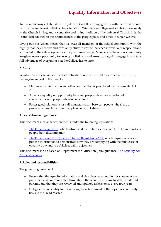To live in this way is to build the Kingdom of God. It is to engage fully with the world around us. The life and learning that is characteristic of Wimbledon College seeks to bring concretely to the Church in England a venerable and living tradition of the universal Church. It is the Jesuit ideal adapted to the circumstances of the people, place and times in which we live.

Living out this vision means that we treat all members of the school community with the dignity that they deserve and constantly strive to ensure that each individual is respected and supported in their development as unique human beings. Members of the school community are given every opportunity to develop holistically and are encouraged to engage in and take full advantage of everything that the College has to offer.

#### **2. Aims**

Wimbledon College aims to meet its obligations under the public sector equality duty by having due regard to the need to:

- Eliminate discrimination and other conduct that is prohibited by the Equality Act 2010
- Advance equality of opportunity between people who share a protected characteristic and people who do not share it
- Foster good relations across all characteristics between people who share a protected characteristic and people who do not share it

#### **3. Legislation and guidance**

This document meets the requirements under the following legislation:

- [The Equality Act 2010,](http://www.legislation.gov.uk/ukpga/2010/15/contents) which introduced the public sector equality duty and protects people from discrimination
- [The Equality Act 2010 \(Specific Duties\) Regulations 2011,](http://www.legislation.gov.uk/uksi/2011/2260/contents/made) which require schools to publish information to demonstrate how they are complying with the public sector equality duty and to publish equality objectives

This document is also based on Department for Education (DfE) guidance: [The Equality Act](https://www.gov.uk/government/uploads/system/uploads/attachment_data/file/315587/Equality_Act_Advice_Final.pdf)  [2010 and schools.](https://www.gov.uk/government/uploads/system/uploads/attachment_data/file/315587/Equality_Act_Advice_Final.pdf) 

#### **4. Roles and responsibilities**

The governing board will:

- Ensure that the equality information and objectives as set out in this statement are published and communicated throughout the school, including to staff, pupils and parents, and that they are reviewed and updated at least once every four years
- Delegate responsibility for monitoring the achievement of the objectives on a daily basis to the Head Master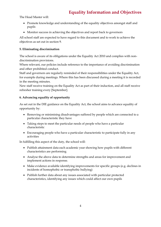The Head Master will:

- Promote knowledge and understanding of the equality objectives amongst staff and pupils
- Monitor success in achieving the objectives and report back to governors

All school staff are expected to have regard to this document and to work to achieve the objectives as set out in section 9.

#### **5. Eliminating discrimination**

The school is aware of its obligations under the Equality Act 2010 and complies with nondiscrimination provisions.

Where relevant, our policies include reference to the importance of avoiding discrimination and other prohibited conduct.

Staff and governors are regularly reminded of their responsibilities under the Equality Act, for example during meetings. Where this has been discussed during a meeting it is recorded in the meeting minutes.

New staff receive training on the Equality Act as part of their induction, and all staff receive refresher training every [September].

#### **6. Advancing equality of opportunity**

As set out in the DfE guidance on the Equality Act, the school aims to advance equality of opportunity by:

- Removing or minimising disadvantages suffered by people which are connected to a particular characteristic they have
- Taking steps to meet the particular needs of people who have a particular characteristic
- Encouraging people who have a particular characteristic to participate fully in any activities

In fulfilling this aspect of the duty, the school will:

- Publish attainment data each academic year showing how pupils with different characteristics are performing
- Analyse the above data to determine strengths and areas for improvement and implement actions in response.
- Make evidence available identifying improvements for specific groups (e.g. declines in incidents of homophobic or transphobic bullying)
- Publish further data about any issues associated with particular protected characteristics, identifying any issues which could affect our own pupils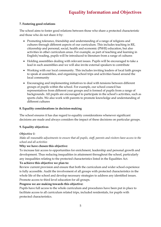#### **7. Fostering good relations**

The school aims to foster good relations between those who share a protected characteristic and those who do not share it by:

- Promoting tolerance, friendship and understanding of a range of religions and cultures through different aspects of our curriculum. This includes teaching in RE, citizenship and personal, social, health and economic (PSHE) education, but also activities in other curriculum areas. For example, as part of teaching and learning in English/reading, pupils will be introduced to literature from a range of cultures
- Holding assemblies dealing with relevant issues. Pupils will be encouraged to take a lead in such assemblies and we will also invite external speakers to contribute
- Working with our local community. This includes inviting leaders of local faith groups to speak at assemblies, and organising school trips and activities based around the local community
- Encouraging and implementing initiatives to deal with tensions between different groups of pupils within the school. For example, our school council has representatives from different year groups and is formed of pupils from a range of backgrounds. All pupils are encouraged to participate in the school's activities, such as sports clubs. We also work with parents to promote knowledge and understanding of different cultures

#### **8. Equality considerations in decision-making**

The school ensures it has due regard to equality considerations whenever significant decisions are made and always considers the impact of these decisions on particular groups.

#### **9. Equality objectives**

#### *Objective 1:*

*Make all reasonable adjustments to ensure that all pupils, staff, parents and visitors have access to the school and all activities*

#### **Why we have chosen this objective:**

To increase fair access to opportunities for enrichment, leadership and personal growth and development. Thus reducing inequalities in attainment throughout the school, particularly any inequalities relating to the protected characteristics listed in the Equalities Act.

#### **To achieve this objective we plan to:**

Review current provision and ensure that both the curriculum and wider school experience is fully accessible. Audit the involvement of all groups with protected characteristics in the whole life of the school and develop necessary strategies to address any identified issues. Promote access to third level education for all groups.

#### **Progress we are making towards this objective:**

Pupils have full access to the whole curriculum and procedures have been put in place to facilitate access to all curriculum related trips, included residentials, for pupils with protected characteristics.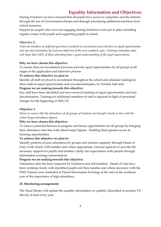During lockdown we have ensured that all pupils have access to computers and the internet through the use of Government schemes and through purchasing additional machines from school resources.

Support for pupils who were not engaging during lockdown were put in place including regular contact with pupils and supporting pupils in school

#### *Objective 2:*

*Train all members of staff and governors involved in recruitment and selection on equal opportunities and non-discrimination by Autumn half term of the next academic year. Training evaluation data will show that 100% of those attending have a good understanding of the legal requirements.*

#### **Why we have chosen this objective:**

To ensure that our recruitment processes provide equal opportunities for all groups at all stages of the application and interview process

#### **To achieve this objective we plan to:**

Identify all staff involved in recruitment throughout the school and schedule training for these staff on equal opportunities and non-discrimination, by October half term

#### **Progress we are making towards this objective:**

Key staff have been identified and have received training of equal opportunities and nondiscrimination. Training for additional members of staff is required in light of personnel changes for the beginning of 2021/22.

#### **Objective 3**

*Strive to ensure that the attendance of all groups of students are brought closely in line with the school target attendance figures*

#### **Why we have chosen this objective:**

To remove potential barriers to progress and future opportunities for all groups by bringing their attendance into line with school target figures. Enabling them greater access to learning opportunities.

#### **To achieve this objective we plan to:**

Identify patterns of poor attendance by groups and monitor regularly through Heads of Line; work closely with families and where appropriate, external agencies to provide the necessary support for pupils and families; clarify our expectations with parents through information evenings/presentations

#### **Progress we are making towards this objective:**

Attendance data has been impacted by lockdown and self-isolation. Heads of Line have been working closely with identified pupils and their families and where necessary with the EWS. Parents were reminded at Parent Information Evenings at the start of the academic year of the importance of high attendance.

#### **10. Monitoring arrangements**

The Head Master will update the equality information we publish, [described in sections 5-8 above], at least every year.